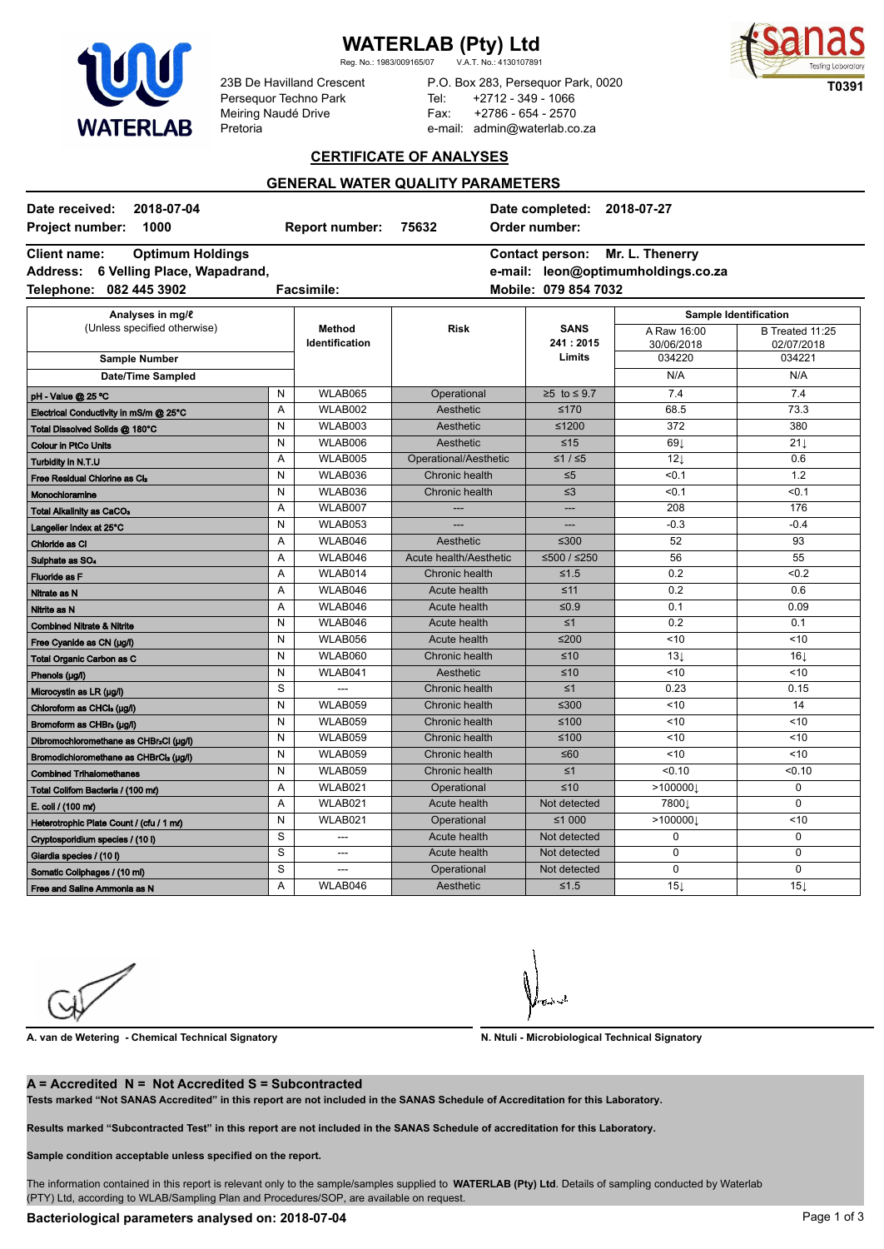# **WATERLAB**

WATERLAB (Pty) Ltd<br>Reg. No.: 1983/009165/07 V.A.T. No.: 4130107891

Reg. No.: 1983/009165/07



23B De Havilland Crescent Persequor Techno Park Meiring Naudé Drive Pretoria

P.O. Box 283, Persequor Park, 0020 Tel: +2712 - 349 - 1066 Fax: +2786 - 654 - 2570 e-mail: admin@waterlab.co.za

## **CERTIFICATE OF ANALYSES**

# **GENERAL WATER QUALITY PARAMETERS**

| 2018-07-04<br>Date received:                                             |   |                          | Date completed: 2018-07-27         |                                   |                           |                               |
|--------------------------------------------------------------------------|---|--------------------------|------------------------------------|-----------------------------------|---------------------------|-------------------------------|
| 1000<br><b>Project number:</b>                                           |   | <b>Report number:</b>    | 75632                              | Order number:                     |                           |                               |
| <b>Optimum Holdings</b><br><b>Client name:</b>                           |   |                          |                                    | <b>Contact person:</b>            | Mr. L. Thenerry           |                               |
| 6 Velling Place, Wapadrand,<br><b>Address:</b>                           |   |                          | e-mail: leon@optimumholdings.co.za |                                   |                           |                               |
| Telephone:<br>082 445 3902                                               |   | <b>Facsimile:</b>        |                                    | Mobile: 079 854 7032              |                           |                               |
| Analyses in mg/l<br>(Unless specified otherwise)<br><b>Sample Number</b> |   |                          |                                    |                                   | Sample Identification     |                               |
|                                                                          |   | Method<br>Identification | <b>Risk</b>                        | <b>SANS</b><br>241:2015<br>Limits | A Raw 16:00<br>30/06/2018 | B Treated 11:25<br>02/07/2018 |
|                                                                          |   |                          |                                    |                                   | 034220                    | 034221                        |
| <b>Date/Time Sampled</b>                                                 |   |                          |                                    |                                   | N/A                       | N/A                           |
| pH - Value @ 25 °C                                                       | N | WLAB065                  | Operational                        | $≥5$ to ≤ 9.7                     | 7.4                       | 7.4                           |
| Electrical Conductivity in mS/m @ 25°C                                   | A | WLAB002                  | Aesthetic                          | $≤170$                            | 68.5                      | 73.3                          |
| Total Dissolved Solids @ 180°C                                           | N | WLAB003                  | Aesthetic                          | $≤1200$                           | 372                       | 380                           |
| <b>Colour in PtCo Units</b>                                              | N | WLAB006                  | Aesthetic                          | $≤15$                             | 69 <sub>1</sub>           | $21 \downarrow$               |
| Turbidity in N.T.U                                                       | Α | WLAB005                  | Operational/Aesthetic              | $≤1/≤5$                           | 12 <sub>1</sub>           | 0.6                           |
| Free Residual Chlorine as Cl2                                            | N | WLAB036                  | Chronic health                     | $\leq 5$                          | < 0.1                     | 1.2                           |
| Monochloramine                                                           | N | WLAB036                  | Chronic health                     | $\leq$ 3                          | $0.1$                     | < 0.1                         |
| <b>Total Alkalinity as CaCO3</b>                                         | A | WLAB007                  |                                    | ---                               | 208                       | 176                           |
| Langelier Index at 25°C                                                  | N | WLAB053                  |                                    |                                   | $-0.3$                    | $-0.4$                        |
| Chloride as Cl                                                           | A | WLAB046                  | Aesthetic                          | $\leq 300$                        | 52                        | 93                            |
| Sulphate as SO <sub>4</sub>                                              | A | WLAB046                  | Acute health/Aesthetic             | ≤500 / ≤250                       | 56                        | 55                            |
| <b>Fluoride as F</b>                                                     | A | WLAB014                  | Chronic health                     | $≤1.5$                            | 0.2                       | < 0.2                         |
| Nitrate as N                                                             | A | WLAB046                  | Acute health                       | $\leq 11$                         | 0.2                       | 0.6                           |
| Nitrite as N                                                             | Α | WLAB046                  | Acute health                       | ≤ $0.9$                           | 0.1                       | 0.09                          |
| <b>Combined Nitrate &amp; Nitrite</b>                                    | N | WLAB046                  | Acute health                       | $\leq 1$                          | 0.2                       | 0.1                           |
| Free Cyanide as CN (µg/l)                                                | N | WLAB056                  | Acute health                       | $≤200$                            | ~10                       | $10$                          |
| Total Organic Carbon as C                                                | N | WLAB060                  | Chronic health                     | ≤10                               | 13 <sub>l</sub>           | $16\downarrow$                |
| Phenols (µg/l)                                                           | N | WLAB041                  | Aesthetic                          | ≤10                               | < 10                      | <10                           |
| Microcystin as LR (µg/l)                                                 | S |                          | Chronic health                     | $\leq 1$                          | 0.23                      | 0.15                          |
| Chloroform as CHCl <sub>3</sub> (µg/l)                                   | N | WLAB059                  | Chronic health                     | $≤300$                            | < 10                      | 14                            |
| Bromoform as CHBr <sub>a</sub> (µg/l)                                    | N | WLAB059                  | Chronic health                     | $≤100$                            | ~10                       | < 10                          |
| Dibromochloromethane as CHBr2Cl (µg/l)                                   | N | WLAB059                  | Chronic health                     | $≤100$                            | ~10                       | < 10                          |
| Bromodichloromethane as CHBrCl2 (µg/l)                                   | N | WLAB059                  | Chronic health                     | $≤60$                             | ~10                       | < 10                          |
| <b>Combined Trihalomethanes</b>                                          | N | WLAB059                  | Chronic health                     | $\leq 1$                          | < 0.10                    | < 0.10                        |
| Total Colifom Bacteria / (100 me)                                        | A | WLAB021                  | Operational                        | ≤10                               | >1000001                  | $\mathbf 0$                   |
| E. coli / (100 me)                                                       | A | WLAB021                  | Acute health                       | Not detected                      | 7800 <sub>1</sub>         | $\mathbf 0$                   |
| Heterotrophic Plate Count / (cfu / 1 ml)                                 | N | WLAB021                  | Operational                        | ≤1 000                            | >100000                   | ~10                           |
| Cryptosporidium species / (10 l)                                         | S | $\overline{a}$           | Acute health                       | Not detected                      | $\mathbf 0$               | $\mathbf 0$                   |
| Giardia species / (10 l)                                                 | S | ---                      | Acute health                       | Not detected                      | $\mathbf{0}$              | $\Omega$                      |
| Somatic Coliphages / (10 ml)                                             | S | ---                      | Operational                        | Not detected                      | $\mathbf 0$               | $\mathbf 0$                   |
| Free and Saline Ammonia as N                                             | A | WLAB046                  | Aesthetic                          | $≤1.5$                            | $15\perp$                 | $15\perp$                     |

**A. van de Wetering - Chemical Technical Signatory N. Ntuli - Microbiological Technical Signatory**

## **A = Accredited N = Not Accredited S = Subcontracted**

**Tests marked "Not SANAS Accredited" in this report are not included in the SANAS Schedule of Accreditation for this Laboratory.**

**Results marked "Subcontracted Test" in this report are not included in the SANAS Schedule of accreditation for this Laboratory.**

**Sample condition acceptable unless specified on the report.**

The information contained in this report is relevant only to the sample/samples supplied to **WATERLAB (Pty) Ltd**. Details of sampling conducted by Waterlab (PTY) Ltd, according to WLAB/Sampling Plan and Procedures/SOP, are available on request.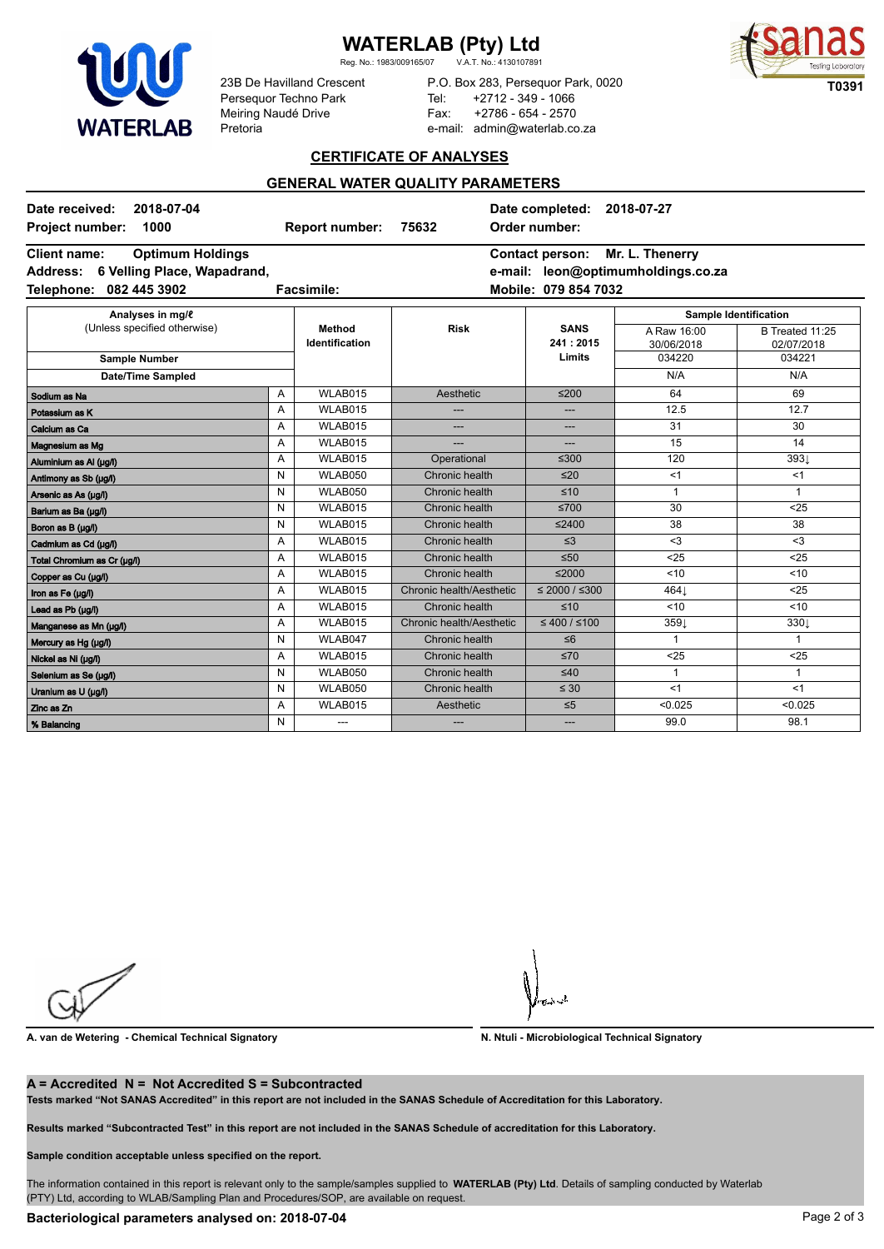# **WATERLAB**

**WATERLAB (Pty) Ltd**<br>Reg. No.: 1983/009165/07 V.A.T. No.: 4130107891

Reg. No.: 1983/009165/07



23B De Havilland Crescent Persequor Techno Park Meiring Naudé Drive Pretoria

P.O. Box 283, Persequor Park, 0020 Tel: +2712 - 349 - 1066 Fax: +2786 - 654 - 2570 e-mail: admin@waterlab.co.za

## **CERTIFICATE OF ANALYSES**

# **GENERAL WATER QUALITY PARAMETERS**

| 2018-07-04<br>Date received:<br>1000<br><b>Project number:</b><br><b>Report number:</b>                                        |   |                          | 75632                    | Date completed:<br>2018-07-27<br>Order number:                                                          |                              |                               |  |
|--------------------------------------------------------------------------------------------------------------------------------|---|--------------------------|--------------------------|---------------------------------------------------------------------------------------------------------|------------------------------|-------------------------------|--|
| <b>Client name:</b><br><b>Optimum Holdings</b><br>6 Velling Place, Wapadrand,<br><b>Address:</b><br>082 445 3902<br>Telephone: |   | Facsimile:               |                          | Mr. L. Thenerry<br><b>Contact person:</b><br>e-mail: leon@optimumholdings.co.za<br>Mobile: 079 854 7032 |                              |                               |  |
| Analyses in mg/l<br>(Unless specified otherwise)                                                                               |   | Method<br>Identification | <b>Risk</b>              | <b>SANS</b><br>241:2015                                                                                 | <b>Sample Identification</b> |                               |  |
|                                                                                                                                |   |                          |                          |                                                                                                         | A Raw 16:00<br>30/06/2018    | B Treated 11:25<br>02/07/2018 |  |
| <b>Sample Number</b>                                                                                                           |   |                          |                          | Limits                                                                                                  | 034220                       | 034221                        |  |
| Date/Time Sampled                                                                                                              |   |                          |                          |                                                                                                         | N/A                          | N/A                           |  |
| Sodium as Na                                                                                                                   | Α | WLAB015                  | Aesthetic                | $≤200$                                                                                                  | 64                           | 69                            |  |
| Potassium as K                                                                                                                 | A | WLAB015                  |                          | ---                                                                                                     | 12.5                         | 12.7                          |  |
| Calcium as Ca                                                                                                                  | A | WLAB015                  | ---                      | ---                                                                                                     | 31                           | 30                            |  |
| Magnesium as Mg                                                                                                                | Α | WLAB015                  |                          | ---                                                                                                     | 15                           | 14                            |  |
| Aluminium as AI (µg/l)                                                                                                         | Α | WLAB015                  | Operational              | $≤300$                                                                                                  | 120                          | 3931                          |  |
| Antimony as Sb (µg/l)                                                                                                          | N | WLAB050                  | Chronic health           | $\leq 20$                                                                                               | <1                           | <1                            |  |
| Arsenic as As (µg/l)                                                                                                           | N | WLAB050                  | Chronic health           | ≤10                                                                                                     | $\mathbf{1}$                 | $\mathbf{1}$                  |  |
| Barium as Ba (µg/l)                                                                                                            | N | WLAB015                  | Chronic health           | $≤700$                                                                                                  | 30                           | $25$                          |  |
| Boron as B (µg/l)                                                                                                              | N | WLAB015                  | Chronic health           | ≤2400                                                                                                   | 38                           | 38                            |  |
| Cadmium as Cd (µg/l)                                                                                                           | A | WLAB015                  | Chronic health           | $\leq$ 3                                                                                                | $3$                          | $3$                           |  |
| Total Chromium as Cr (µg/l)                                                                                                    | A | WLAB015                  | Chronic health           | $≤50$                                                                                                   | $25$                         | $25$                          |  |
| Copper as Cu (µg/l)                                                                                                            | A | WLAB015                  | Chronic health           | $≤2000$                                                                                                 | < 10                         | < 10                          |  |
| Iron as Fe (µg/l)                                                                                                              | A | WLAB015                  | Chronic health/Aesthetic | ≤ 2000 / ≤300                                                                                           | 4641                         | $25$                          |  |
| Lead as Pb (µg/l)                                                                                                              | Α | WLAB015                  | Chronic health           | $\leq 10$                                                                                               | ~10                          | < 10                          |  |
| Manganese as Mn (µg/l)                                                                                                         | A | WLAB015                  | Chronic health/Aesthetic | ≤ 400 / ≤100                                                                                            | 3591                         | 3301                          |  |
| Mercury as Hg (µg/l)                                                                                                           | N | WLAB047                  | Chronic health           | $≤6$                                                                                                    | $\mathbf{1}$                 | $\mathbf{1}$                  |  |
| Nickel as Ni (µg/l)                                                                                                            | Α | WLAB015                  | Chronic health           | $\leq 70$                                                                                               | $25$                         | $25$                          |  |
| Selenium as Se (µg/l)                                                                                                          | N | WLAB050                  | Chronic health           | $\leq 40$                                                                                               | $\mathbf{1}$                 | $\mathbf{1}$                  |  |
| Uranium as U (µg/l)                                                                                                            | N | WLAB050                  | Chronic health           | $\leq 30$                                                                                               | <1                           | <1                            |  |
| Zinc as Zn                                                                                                                     | A | WLAB015                  | Aesthetic                | $\leq 5$                                                                                                | < 0.025                      | < 0.025                       |  |
| % Balancing                                                                                                                    | N | ---                      | ---                      | ---                                                                                                     | 99.0                         | 98.1                          |  |

**A. van de Wetering - Chemical Technical Signatory N. Ntuli - Microbiological Technical Signatory**

## **A = Accredited N = Not Accredited S = Subcontracted**

**Tests marked "Not SANAS Accredited" in this report are not included in the SANAS Schedule of Accreditation for this Laboratory.**

**Results marked "Subcontracted Test" in this report are not included in the SANAS Schedule of accreditation for this Laboratory.**

**Sample condition acceptable unless specified on the report.**

The information contained in this report is relevant only to the sample/samples supplied to **WATERLAB (Pty) Ltd**. Details of sampling conducted by Waterlab (PTY) Ltd, according to WLAB/Sampling Plan and Procedures/SOP, are available on request.